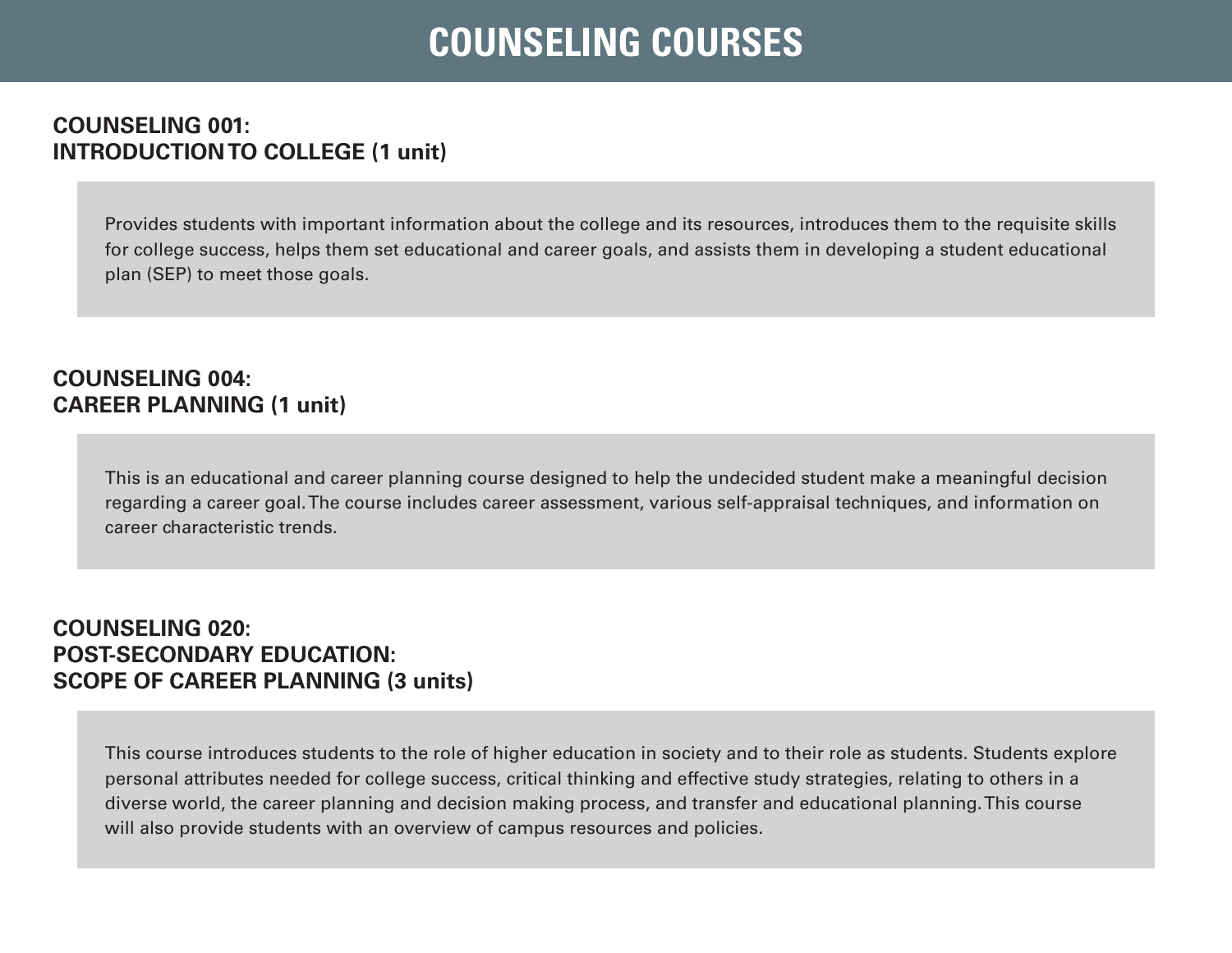# **COUNSELING COURSES**

### **COUNSELING 001: INTRODUCTION TO COLLEGE (1 unit)**

Provides students with important information about the college and its resources, introduces them to the requisite skills for college success, helps them set educational and career goals, and assists them in developing a student educational plan (SEP) to meet those goals.

### **COUNSELING 004: CAREER PLANNING (1 unit)**

This is an educational and career planning course designed to help the undecided student make a meaningful decision regarding a career goal. The course includes career assessment, various self-appraisal techniques, and information on career characteristic trends.

#### **COUNSELING 020: POST-SECONDARY EDUCATION: SCOPE OF CAREER PLANNING (3 units)**

This course introduces students to the role of higher education in society and to their role as students. Students explore personal attributes needed for college success, critical thinking and effective study strategies, relating to others in a diverse world, the career planning and decision making process, and transfer and educational planning. This course will also provide students with an overview of campus resources and policies.